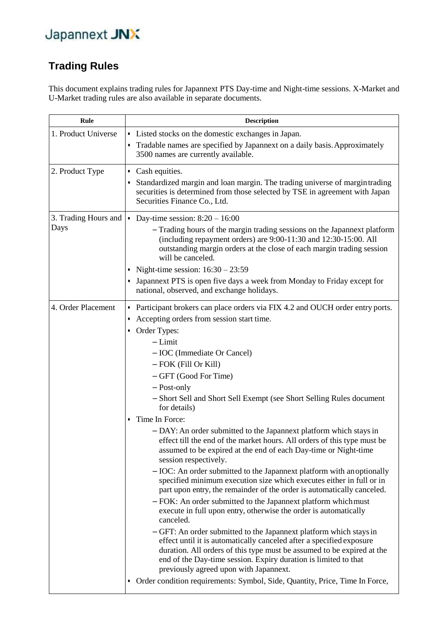#### **Trading Rules**

This document explains trading rules for Japannext PTS Day-time and Night-time sessions. X-Market and U-Market trading rules are also available in separate documents.

| Rule                         | <b>Description</b>                                                                                                                                                                                                                                                                                                                                                                                                                                                                                                                                                                                                                                                                                                                                                                                                                                                                                                                                                                                                                                                                                                                                                                                                                                                                                                                                                                                                              |  |  |  |
|------------------------------|---------------------------------------------------------------------------------------------------------------------------------------------------------------------------------------------------------------------------------------------------------------------------------------------------------------------------------------------------------------------------------------------------------------------------------------------------------------------------------------------------------------------------------------------------------------------------------------------------------------------------------------------------------------------------------------------------------------------------------------------------------------------------------------------------------------------------------------------------------------------------------------------------------------------------------------------------------------------------------------------------------------------------------------------------------------------------------------------------------------------------------------------------------------------------------------------------------------------------------------------------------------------------------------------------------------------------------------------------------------------------------------------------------------------------------|--|--|--|
| 1. Product Universe          | • Listed stocks on the domestic exchanges in Japan.<br>Tradable names are specified by Japannext on a daily basis. Approximately<br>٠<br>3500 names are currently available.                                                                                                                                                                                                                                                                                                                                                                                                                                                                                                                                                                                                                                                                                                                                                                                                                                                                                                                                                                                                                                                                                                                                                                                                                                                    |  |  |  |
| 2. Product Type              | • Cash equities.<br>Standardized margin and loan margin. The trading universe of margin trading<br>٠<br>securities is determined from those selected by TSE in agreement with Japan<br>Securities Finance Co., Ltd.                                                                                                                                                                                                                                                                                                                                                                                                                                                                                                                                                                                                                                                                                                                                                                                                                                                                                                                                                                                                                                                                                                                                                                                                             |  |  |  |
| 3. Trading Hours and<br>Days | • Day-time session: $8:20 - 16:00$<br>- Trading hours of the margin trading sessions on the Japannext platform<br>(including repayment orders) are 9:00-11:30 and 12:30-15:00. All<br>outstanding margin orders at the close of each margin trading session<br>will be canceled.<br>Night-time session: $16:30 - 23:59$<br>• Japannext PTS is open five days a week from Monday to Friday except for<br>national, observed, and exchange holidays.                                                                                                                                                                                                                                                                                                                                                                                                                                                                                                                                                                                                                                                                                                                                                                                                                                                                                                                                                                              |  |  |  |
| 4. Order Placement           | • Participant brokers can place orders via FIX 4.2 and OUCH order entry ports.<br>Accepting orders from session start time.<br>٠<br>• Order Types:<br>$-Limit$<br>- IOC (Immediate Or Cancel)<br>- FOK (Fill Or Kill)<br>- GFT (Good For Time)<br>- Post-only<br>- Short Sell and Short Sell Exempt (see Short Selling Rules document<br>for details)<br>Time In Force:<br>٠<br>- DAY: An order submitted to the Japannext platform which stays in<br>effect till the end of the market hours. All orders of this type must be<br>assumed to be expired at the end of each Day-time or Night-time<br>session respectively.<br>- IOC: An order submitted to the Japannext platform with an optionally<br>specified minimum execution size which executes either in full or in<br>part upon entry, the remainder of the order is automatically canceled.<br>- FOK: An order submitted to the Japannext platform which must<br>execute in full upon entry, otherwise the order is automatically<br>canceled.<br>- GFT: An order submitted to the Japannext platform which stays in<br>effect until it is automatically canceled after a specified exposure<br>duration. All orders of this type must be assumed to be expired at the<br>end of the Day-time session. Expiry duration is limited to that<br>previously agreed upon with Japannext.<br>• Order condition requirements: Symbol, Side, Quantity, Price, Time In Force, |  |  |  |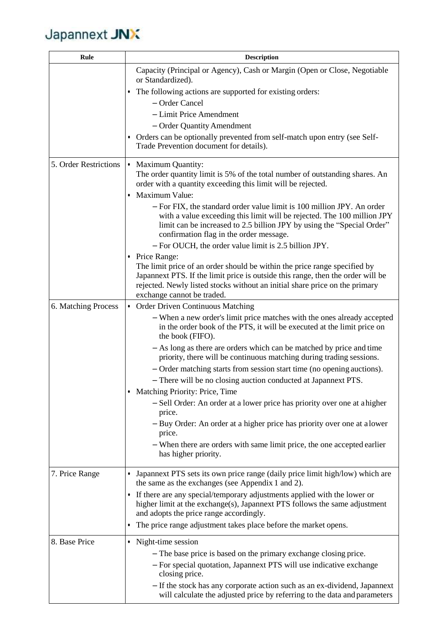| Rule                  | <b>Description</b>                                                                                                                                                                                                                                                     |  |  |  |
|-----------------------|------------------------------------------------------------------------------------------------------------------------------------------------------------------------------------------------------------------------------------------------------------------------|--|--|--|
|                       | Capacity (Principal or Agency), Cash or Margin (Open or Close, Negotiable<br>or Standardized).                                                                                                                                                                         |  |  |  |
|                       | • The following actions are supported for existing orders:                                                                                                                                                                                                             |  |  |  |
|                       | - Order Cancel                                                                                                                                                                                                                                                         |  |  |  |
|                       | - Limit Price Amendment                                                                                                                                                                                                                                                |  |  |  |
|                       | - Order Quantity Amendment                                                                                                                                                                                                                                             |  |  |  |
|                       | • Orders can be optionally prevented from self-match upon entry (see Self-<br>Trade Prevention document for details).                                                                                                                                                  |  |  |  |
| 5. Order Restrictions | • Maximum Quantity:                                                                                                                                                                                                                                                    |  |  |  |
|                       | The order quantity limit is 5% of the total number of outstanding shares. An                                                                                                                                                                                           |  |  |  |
|                       | order with a quantity exceeding this limit will be rejected.                                                                                                                                                                                                           |  |  |  |
|                       | Maximum Value:                                                                                                                                                                                                                                                         |  |  |  |
|                       | - For FIX, the standard order value limit is 100 million JPY. An order<br>with a value exceeding this limit will be rejected. The 100 million JPY<br>limit can be increased to 2.5 billion JPY by using the "Special Order"<br>confirmation flag in the order message. |  |  |  |
|                       | - For OUCH, the order value limit is 2.5 billion JPY.                                                                                                                                                                                                                  |  |  |  |
|                       | • Price Range:                                                                                                                                                                                                                                                         |  |  |  |
|                       | The limit price of an order should be within the price range specified by                                                                                                                                                                                              |  |  |  |
|                       | Japannext PTS. If the limit price is outside this range, then the order will be<br>rejected. Newly listed stocks without an initial share price on the primary                                                                                                         |  |  |  |
|                       | exchange cannot be traded.                                                                                                                                                                                                                                             |  |  |  |
| 6. Matching Process   | • Order Driven Continuous Matching                                                                                                                                                                                                                                     |  |  |  |
|                       | - When a new order's limit price matches with the ones already accepted<br>in the order book of the PTS, it will be executed at the limit price on<br>the book (FIFO).                                                                                                 |  |  |  |
|                       | - As long as there are orders which can be matched by price and time<br>priority, there will be continuous matching during trading sessions.                                                                                                                           |  |  |  |
|                       | - Order matching starts from session start time (no opening auctions).                                                                                                                                                                                                 |  |  |  |
|                       | - There will be no closing auction conducted at Japannext PTS.                                                                                                                                                                                                         |  |  |  |
|                       | Matching Priority: Price, Time<br>٠                                                                                                                                                                                                                                    |  |  |  |
|                       | - Sell Order: An order at a lower price has priority over one at a higher<br>price.                                                                                                                                                                                    |  |  |  |
|                       | - Buy Order: An order at a higher price has priority over one at a lower<br>price.                                                                                                                                                                                     |  |  |  |
|                       | - When there are orders with same limit price, the one accepted earlier<br>has higher priority.                                                                                                                                                                        |  |  |  |
| 7. Price Range        | • Japannext PTS sets its own price range (daily price limit high/low) which are<br>the same as the exchanges (see Appendix 1 and 2).                                                                                                                                   |  |  |  |
|                       | • If there are any special/temporary adjustments applied with the lower or<br>higher limit at the exchange(s), Japannext PTS follows the same adjustment<br>and adopts the price range accordingly.                                                                    |  |  |  |
|                       | The price range adjustment takes place before the market opens.                                                                                                                                                                                                        |  |  |  |
| 8. Base Price         | • Night-time session                                                                                                                                                                                                                                                   |  |  |  |
|                       | - The base price is based on the primary exchange closing price.                                                                                                                                                                                                       |  |  |  |
|                       | - For special quotation, Japannext PTS will use indicative exchange<br>closing price.                                                                                                                                                                                  |  |  |  |
|                       | - If the stock has any corporate action such as an ex-dividend, Japannext                                                                                                                                                                                              |  |  |  |
|                       | will calculate the adjusted price by referring to the data and parameters                                                                                                                                                                                              |  |  |  |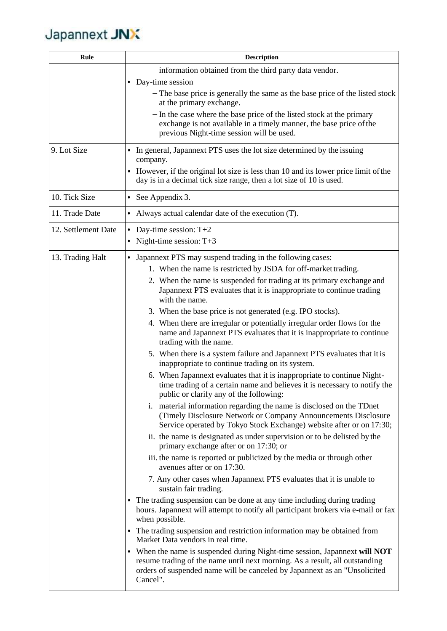| Rule                | <b>Description</b>                                                                                                                                                                                                                                 |  |  |  |  |
|---------------------|----------------------------------------------------------------------------------------------------------------------------------------------------------------------------------------------------------------------------------------------------|--|--|--|--|
|                     | information obtained from the third party data vendor.                                                                                                                                                                                             |  |  |  |  |
|                     | • Day-time session                                                                                                                                                                                                                                 |  |  |  |  |
|                     | - The base price is generally the same as the base price of the listed stock<br>at the primary exchange.                                                                                                                                           |  |  |  |  |
|                     | - In the case where the base price of the listed stock at the primary<br>exchange is not available in a timely manner, the base price of the<br>previous Night-time session will be used.                                                          |  |  |  |  |
| 9. Lot Size         | • In general, Japannext PTS uses the lot size determined by the issuing<br>company.                                                                                                                                                                |  |  |  |  |
|                     | • However, if the original lot size is less than 10 and its lower price limit of the<br>day is in a decimal tick size range, then a lot size of 10 is used.                                                                                        |  |  |  |  |
| 10. Tick Size       | • See Appendix 3.                                                                                                                                                                                                                                  |  |  |  |  |
| 11. Trade Date      | • Always actual calendar date of the execution (T).                                                                                                                                                                                                |  |  |  |  |
| 12. Settlement Date | Day-time session: $T+2$<br>٠                                                                                                                                                                                                                       |  |  |  |  |
|                     | Night-time session: $T+3$<br>٠                                                                                                                                                                                                                     |  |  |  |  |
| 13. Trading Halt    | Japannext PTS may suspend trading in the following cases:                                                                                                                                                                                          |  |  |  |  |
|                     | 1. When the name is restricted by JSDA for off-market trading.                                                                                                                                                                                     |  |  |  |  |
|                     | 2. When the name is suspended for trading at its primary exchange and<br>Japannext PTS evaluates that it is inappropriate to continue trading<br>with the name.                                                                                    |  |  |  |  |
|                     | 3. When the base price is not generated (e.g. IPO stocks).                                                                                                                                                                                         |  |  |  |  |
|                     | 4. When there are irregular or potentially irregular order flows for the<br>name and Japannext PTS evaluates that it is inappropriate to continue<br>trading with the name.                                                                        |  |  |  |  |
|                     | 5. When there is a system failure and Japannext PTS evaluates that it is<br>inappropriate to continue trading on its system.                                                                                                                       |  |  |  |  |
|                     | 6. When Japannext evaluates that it is inappropriate to continue Night-<br>time trading of a certain name and believes it is necessary to notify the<br>public or clarify any of the following:                                                    |  |  |  |  |
|                     | i. material information regarding the name is disclosed on the TDnet<br>(Timely Disclosure Network or Company Announcements Disclosure)<br>Service operated by Tokyo Stock Exchange) website after or on 17:30;                                    |  |  |  |  |
|                     | ii. the name is designated as under supervision or to be delisted by the<br>primary exchange after or on 17:30; or                                                                                                                                 |  |  |  |  |
|                     | iii. the name is reported or publicized by the media or through other<br>avenues after or on 17:30.                                                                                                                                                |  |  |  |  |
|                     | 7. Any other cases when Japannext PTS evaluates that it is unable to<br>sustain fair trading.                                                                                                                                                      |  |  |  |  |
|                     | The trading suspension can be done at any time including during trading<br>hours. Japannext will attempt to notify all participant brokers via e-mail or fax<br>when possible.                                                                     |  |  |  |  |
|                     | The trading suspension and restriction information may be obtained from<br>٠<br>Market Data vendors in real time.                                                                                                                                  |  |  |  |  |
|                     | • When the name is suspended during Night-time session, Japannext will NOT<br>resume trading of the name until next morning. As a result, all outstanding<br>orders of suspended name will be canceled by Japannext as an "Unsolicited<br>Cancel". |  |  |  |  |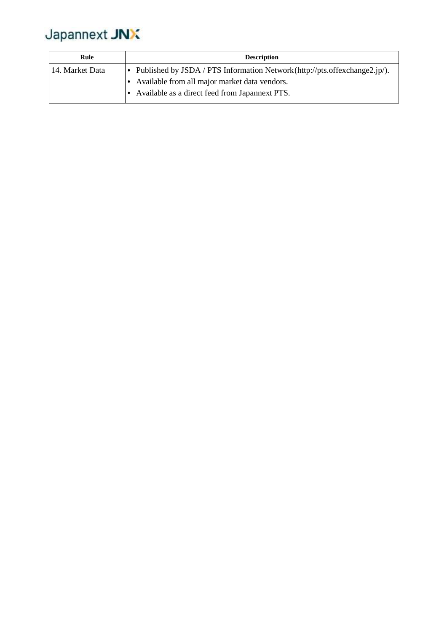| Rule            | <b>Description</b>                                                                                                                                                            |
|-----------------|-------------------------------------------------------------------------------------------------------------------------------------------------------------------------------|
| 14. Market Data | Published by JSDA / PTS Information Network (http://pts.offexchange2.jp/).<br>Available from all major market data vendors.<br>Available as a direct feed from Japannext PTS. |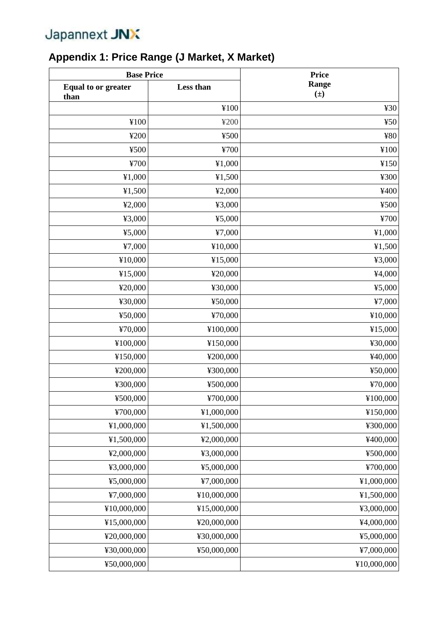### **Appendix 1: Price Range (J Market, X Market)**

| <b>Base Price</b>                  |             | <b>Price</b>     |  |
|------------------------------------|-------------|------------------|--|
| <b>Equal to or greater</b><br>than | Less than   | Range<br>$(\pm)$ |  |
|                                    | ¥100        | 430              |  |
| ¥100                               | ¥200        | 450              |  |
| ¥200                               | ¥500        | ¥80              |  |
| ¥500                               | ¥700        | ¥100             |  |
| ¥700                               | ¥1,000      | ¥150             |  |
| ¥1,000                             | ¥1,500      | ¥300             |  |
| ¥1,500                             | 42,000      | ¥400             |  |
| 42,000                             | ¥3,000      | ¥500             |  |
| ¥3,000                             | 45,000      | ¥700             |  |
| 45,000                             | 47,000      | ¥1,000           |  |
| 47,000                             | ¥10,000     | ¥1,500           |  |
| ¥10,000                            | ¥15,000     | ¥3,000           |  |
| ¥15,000                            | ¥20,000     | ¥4,000           |  |
| ¥20,000                            | ¥30,000     | 45,000           |  |
| ¥30,000                            | ¥50,000     | ¥7,000           |  |
| ¥50,000                            | ¥70,000     | ¥10,000          |  |
| ¥70,000                            | ¥100,000    | ¥15,000          |  |
| ¥100,000                           | ¥150,000    | ¥30,000          |  |
| ¥150,000                           | ¥200,000    | ¥40,000          |  |
| ¥200,000                           | ¥300,000    | ¥50,000          |  |
| ¥300,000                           | ¥500,000    | ¥70,000          |  |
| ¥500,000                           | ¥700,000    | ¥100,000         |  |
| ¥700,000                           | ¥1,000,000  | ¥150,000         |  |
| ¥1,000,000                         | ¥1,500,000  | ¥300,000         |  |
| ¥1,500,000                         | ¥2,000,000  | ¥400,000         |  |
| ¥2,000,000                         | ¥3,000,000  | ¥500,000         |  |
| ¥3,000,000                         | ¥5,000,000  | ¥700,000         |  |
| ¥5,000,000                         | ¥7,000,000  | ¥1,000,000       |  |
| ¥7,000,000                         | ¥10,000,000 | ¥1,500,000       |  |
| ¥10,000,000                        | ¥15,000,000 | ¥3,000,000       |  |
| ¥15,000,000                        | ¥20,000,000 | ¥4,000,000       |  |
| ¥20,000,000                        | ¥30,000,000 | ¥5,000,000       |  |
| ¥30,000,000                        | ¥50,000,000 | ¥7,000,000       |  |
| ¥50,000,000                        |             | ¥10,000,000      |  |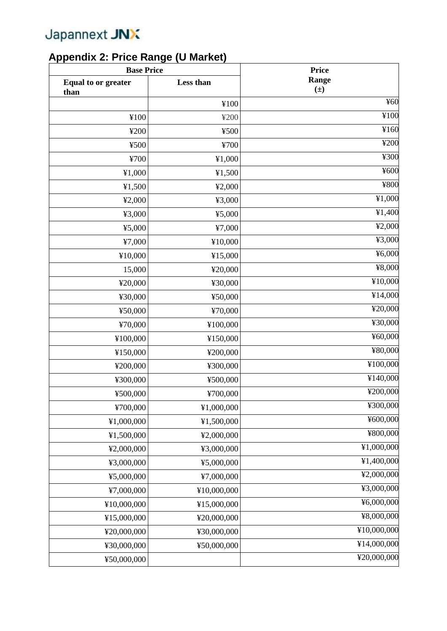#### **Appendix 2: Price Range (U Market)**

| <b>Base Price</b>                  |             | <b>Price</b>     |  |
|------------------------------------|-------------|------------------|--|
| <b>Equal to or greater</b><br>than | Less than   | Range<br>$(\pm)$ |  |
|                                    | ¥100        | ¥60              |  |
| ¥100                               | ¥200        | ¥100             |  |
| ¥200                               | ¥500        | ¥160             |  |
| ¥500                               | ¥700        | ¥200             |  |
| ¥700                               | ¥1,000      | ¥300             |  |
| ¥1,000                             | ¥1,500      | ¥600             |  |
| 41,500                             | 42,000      | ¥800             |  |
| 42,000                             | ¥3,000      | ¥1,000           |  |
| ¥3,000                             | 45,000      | ¥1,400           |  |
| 45,000                             | ¥7,000      | 42,000           |  |
| ¥7,000                             | ¥10,000     | ¥3,000           |  |
| ¥10,000                            | ¥15,000     | 46,000           |  |
| 15,000                             | ¥20,000     | ¥8,000           |  |
| ¥20,000                            | ¥30,000     | ¥10,000          |  |
| ¥30,000                            | ¥50,000     | ¥14,000          |  |
| ¥50,000                            | ¥70,000     | ¥20,000          |  |
| ¥70,000                            | ¥100,000    | ¥30,000          |  |
| ¥100,000                           | ¥150,000    | ¥60,000          |  |
| ¥150,000                           | ¥200,000    | ¥80,000          |  |
| ¥200,000                           | ¥300,000    | ¥100,000         |  |
| ¥300,000                           | ¥500,000    | ¥140,000         |  |
| ¥500,000                           | ¥700,000    | ¥200,000         |  |
| ¥700,000                           | ¥1,000,000  | ¥300,000         |  |
| ¥1,000,000                         | ¥1,500,000  | ¥600,000         |  |
| ¥1,500,000                         | ¥2,000,000  | ¥800,000         |  |
| ¥2,000,000                         | ¥3,000,000  | ¥1,000,000       |  |
| ¥3,000,000                         | ¥5,000,000  | ¥1,400,000       |  |
| ¥5,000,000                         | ¥7,000,000  | ¥2,000,000       |  |
| ¥7,000,000                         | ¥10,000,000 | ¥3,000,000       |  |
| ¥10,000,000                        | ¥15,000,000 | ¥6,000,000       |  |
| ¥15,000,000                        | ¥20,000,000 | ¥8,000,000       |  |
| ¥20,000,000                        | ¥30,000,000 | ¥10,000,000      |  |
| ¥30,000,000                        | ¥50,000,000 | ¥14,000,000      |  |
| ¥50,000,000                        |             | ¥20,000,000      |  |